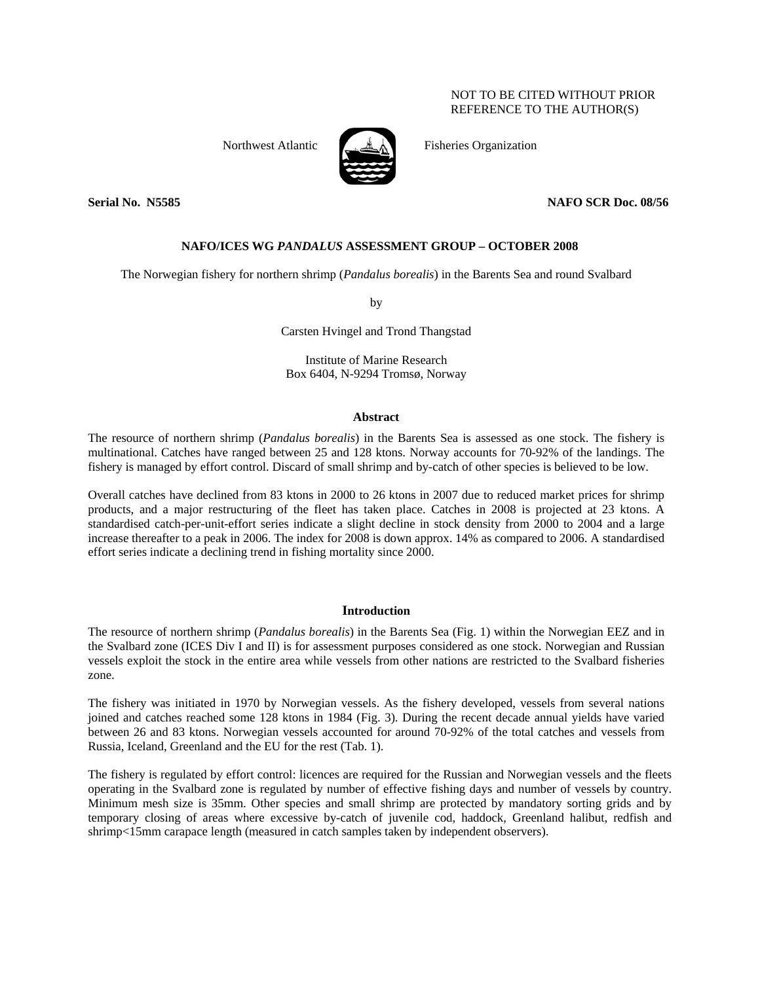# NOT TO BE CITED WITHOUT PRIOR REFERENCE TO THE AUTHOR(S)



Northwest Atlantic Fisheries Organization

## **Serial No. N5585 NAFO SCR Doc. 08/56**

# **NAFO/ICES WG** *PANDALUS* **ASSESSMENT GROUP – OCTOBER 2008**

The Norwegian fishery for northern shrimp (*Pandalus borealis*) in the Barents Sea and round Svalbard

by

Carsten Hvingel and Trond Thangstad

Institute of Marine Research Box 6404, N-9294 Tromsø, Norway

### **Abstract**

The resource of northern shrimp (*Pandalus borealis*) in the Barents Sea is assessed as one stock. The fishery is multinational. Catches have ranged between 25 and 128 ktons. Norway accounts for 70-92% of the landings. The fishery is managed by effort control. Discard of small shrimp and by-catch of other species is believed to be low.

Overall catches have declined from 83 ktons in 2000 to 26 ktons in 2007 due to reduced market prices for shrimp products, and a major restructuring of the fleet has taken place. Catches in 2008 is projected at 23 ktons. A standardised catch-per-unit-effort series indicate a slight decline in stock density from 2000 to 2004 and a large increase thereafter to a peak in 2006. The index for 2008 is down approx. 14% as compared to 2006. A standardised effort series indicate a declining trend in fishing mortality since 2000.

## **Introduction**

The resource of northern shrimp (*Pandalus borealis*) in the Barents Sea (Fig. 1) within the Norwegian EEZ and in the Svalbard zone (ICES Div I and II) is for assessment purposes considered as one stock. Norwegian and Russian vessels exploit the stock in the entire area while vessels from other nations are restricted to the Svalbard fisheries zone.

The fishery was initiated in 1970 by Norwegian vessels. As the fishery developed, vessels from several nations joined and catches reached some 128 ktons in 1984 (Fig. 3). During the recent decade annual yields have varied between 26 and 83 ktons. Norwegian vessels accounted for around 70-92% of the total catches and vessels from Russia, Iceland, Greenland and the EU for the rest (Tab. 1).

The fishery is regulated by effort control: licences are required for the Russian and Norwegian vessels and the fleets operating in the Svalbard zone is regulated by number of effective fishing days and number of vessels by country. Minimum mesh size is 35mm. Other species and small shrimp are protected by mandatory sorting grids and by temporary closing of areas where excessive by-catch of juvenile cod, haddock, Greenland halibut, redfish and shrimp<15mm carapace length (measured in catch samples taken by independent observers).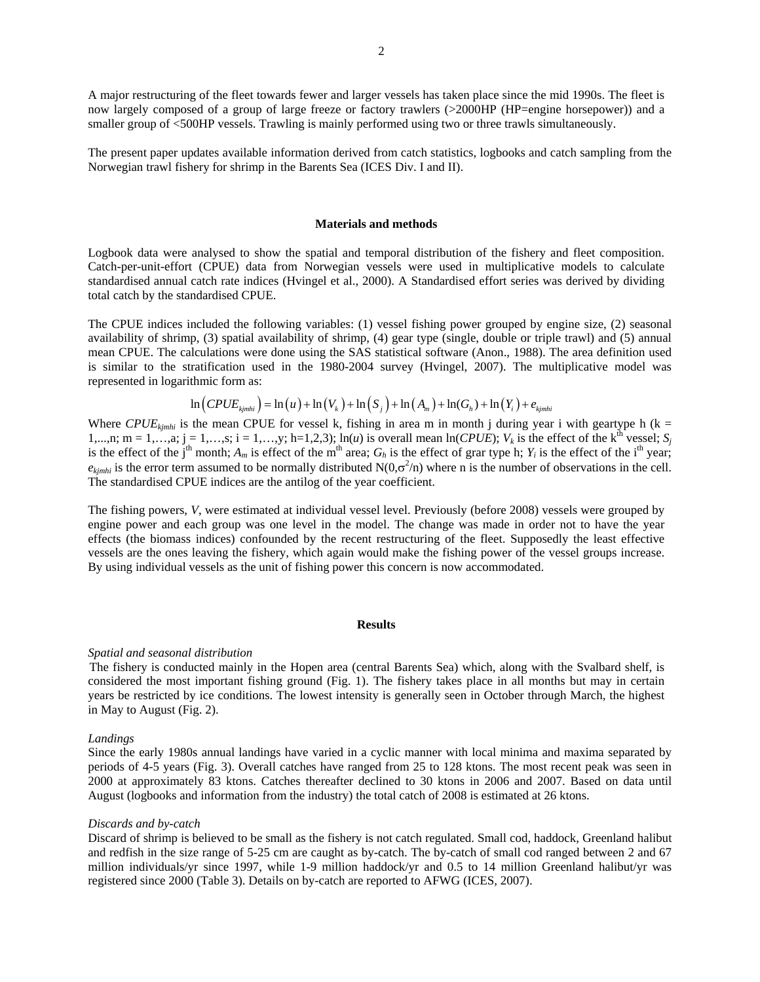A major restructuring of the fleet towards fewer and larger vessels has taken place since the mid 1990s. The fleet is now largely composed of a group of large freeze or factory trawlers (>2000HP (HP=engine horsepower)) and a smaller group of <500HP vessels. Trawling is mainly performed using two or three trawls simultaneously.

The present paper updates available information derived from catch statistics, logbooks and catch sampling from the Norwegian trawl fishery for shrimp in the Barents Sea (ICES Div. I and II).

#### **Materials and methods**

Logbook data were analysed to show the spatial and temporal distribution of the fishery and fleet composition. Catch-per-unit-effort (CPUE) data from Norwegian vessels were used in multiplicative models to calculate standardised annual catch rate indices (Hvingel et al., 2000). A Standardised effort series was derived by dividing total catch by the standardised CPUE.

The CPUE indices included the following variables: (1) vessel fishing power grouped by engine size, (2) seasonal availability of shrimp, (3) spatial availability of shrimp, (4) gear type (single, double or triple trawl) and (5) annual mean CPUE. The calculations were done using the SAS statistical software (Anon., 1988). The area definition used is similar to the stratification used in the 1980-2004 survey (Hvingel, 2007). The multiplicative model was represented in logarithmic form as:

$$
\ln\left(CPUE_{kjmhi}\right) = \ln\left(u\right) + \ln\left(V_k\right) + \ln\left(S_j\right) + \ln\left(A_m\right) + \ln\left(G_h\right) + \ln\left(Y_i\right) + e_{kjmhi}
$$

Where  $CPUE_{kimhi}$  is the mean CPUE for vessel k, fishing in area m in month j during year i with geartype h (k = 1,...,n; m = 1,...,a; j = 1,...,s; i = 1,...,y; h=1,2,3); ln(*u*) is overall mean ln(*CPUE*);  $V_k$  is the effect of the k<sup>th</sup> vessel;  $S_j$ is the effect of the j<sup>th</sup> month;  $A_m$  is effect of the m<sup>th</sup> area;  $G_h$  is the effect of grar type h;  $Y_i$  is the effect of the i<sup>th</sup> year;  $e_{kjmhi}$  is the error term assumed to be normally distributed  $N(0,\sigma^2/n)$  where n is the number of observations in the cell. The standardised CPUE indices are the antilog of the year coefficient.

The fishing powers, *V*, were estimated at individual vessel level. Previously (before 2008) vessels were grouped by engine power and each group was one level in the model. The change was made in order not to have the year effects (the biomass indices) confounded by the recent restructuring of the fleet. Supposedly the least effective vessels are the ones leaving the fishery, which again would make the fishing power of the vessel groups increase. By using individual vessels as the unit of fishing power this concern is now accommodated.

#### **Results**

#### *Spatial and seasonal distribution*

The fishery is conducted mainly in the Hopen area (central Barents Sea) which, along with the Svalbard shelf, is considered the most important fishing ground (Fig. 1). The fishery takes place in all months but may in certain years be restricted by ice conditions. The lowest intensity is generally seen in October through March, the highest in May to August (Fig. 2).

### *Landings*

Since the early 1980s annual landings have varied in a cyclic manner with local minima and maxima separated by periods of 4-5 years (Fig. 3). Overall catches have ranged from 25 to 128 ktons. The most recent peak was seen in 2000 at approximately 83 ktons. Catches thereafter declined to 30 ktons in 2006 and 2007. Based on data until August (logbooks and information from the industry) the total catch of 2008 is estimated at 26 ktons.

### *Discards and by-catch*

Discard of shrimp is believed to be small as the fishery is not catch regulated. Small cod, haddock, Greenland halibut and redfish in the size range of 5-25 cm are caught as by-catch. The by-catch of small cod ranged between 2 and 67 million individuals/yr since 1997, while 1-9 million haddock/yr and 0.5 to 14 million Greenland halibut/yr was registered since 2000 (Table 3). Details on by-catch are reported to AFWG (ICES, 2007).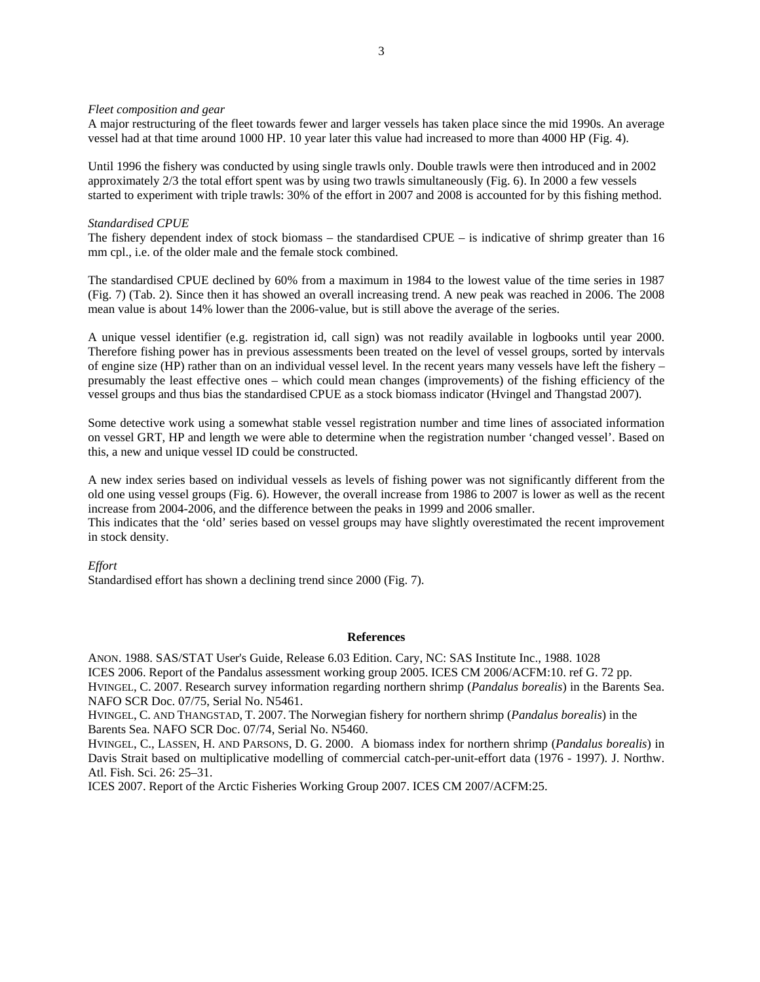### *Fleet composition and gear*

A major restructuring of the fleet towards fewer and larger vessels has taken place since the mid 1990s. An average vessel had at that time around 1000 HP. 10 year later this value had increased to more than 4000 HP (Fig. 4).

Until 1996 the fishery was conducted by using single trawls only. Double trawls were then introduced and in 2002 approximately 2/3 the total effort spent was by using two trawls simultaneously (Fig. 6). In 2000 a few vessels started to experiment with triple trawls: 30% of the effort in 2007 and 2008 is accounted for by this fishing method.

## *Standardised CPUE*

The fishery dependent index of stock biomass – the standardised CPUE – is indicative of shrimp greater than 16 mm cpl., i.e. of the older male and the female stock combined.

The standardised CPUE declined by 60% from a maximum in 1984 to the lowest value of the time series in 1987 (Fig. 7) (Tab. 2). Since then it has showed an overall increasing trend. A new peak was reached in 2006. The 2008 mean value is about 14% lower than the 2006-value, but is still above the average of the series.

A unique vessel identifier (e.g. registration id, call sign) was not readily available in logbooks until year 2000. Therefore fishing power has in previous assessments been treated on the level of vessel groups, sorted by intervals of engine size (HP) rather than on an individual vessel level. In the recent years many vessels have left the fishery – presumably the least effective ones – which could mean changes (improvements) of the fishing efficiency of the vessel groups and thus bias the standardised CPUE as a stock biomass indicator (Hvingel and Thangstad 2007).

Some detective work using a somewhat stable vessel registration number and time lines of associated information on vessel GRT, HP and length we were able to determine when the registration number 'changed vessel'. Based on this, a new and unique vessel ID could be constructed.

A new index series based on individual vessels as levels of fishing power was not significantly different from the old one using vessel groups (Fig. 6). However, the overall increase from 1986 to 2007 is lower as well as the recent increase from 2004-2006, and the difference between the peaks in 1999 and 2006 smaller. This indicates that the 'old' series based on vessel groups may have slightly overestimated the recent improvement in stock density.

*Effort* 

Standardised effort has shown a declining trend since 2000 (Fig. 7).

### **References**

ANON. 1988. SAS/STAT User's Guide, Release 6.03 Edition. Cary, NC: SAS Institute Inc., 1988. 1028 ICES 2006. Report of the Pandalus assessment working group 2005. ICES CM 2006/ACFM:10. ref G. 72 pp. HVINGEL, C. 2007. Research survey information regarding northern shrimp (*Pandalus borealis*) in the Barents Sea. NAFO SCR Doc. 07/75, Serial No. N5461.

HVINGEL, C. AND THANGSTAD, T. 2007. The Norwegian fishery for northern shrimp (*Pandalus borealis*) in the Barents Sea. NAFO SCR Doc. 07/74, Serial No. N5460.

HVINGEL, C., LASSEN, H. AND PARSONS, D. G. 2000. A biomass index for northern shrimp (*Pandalus borealis*) in Davis Strait based on multiplicative modelling of commercial catch-per-unit-effort data (1976 - 1997). J. Northw. Atl. Fish. Sci. 26: 25–31.

ICES 2007. Report of the Arctic Fisheries Working Group 2007. ICES CM 2007/ACFM:25.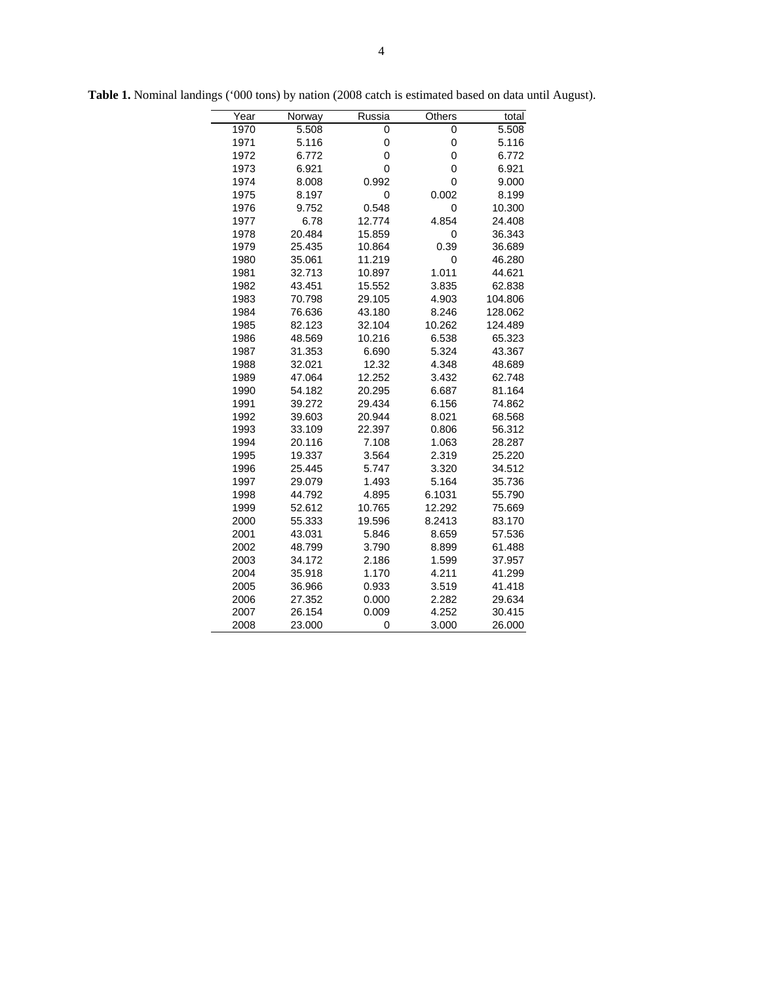| Year | Norway | Russia | Others      | total   |
|------|--------|--------|-------------|---------|
| 1970 | 5.508  | 0      | 0           | 5.508   |
| 1971 | 5.116  | 0      | 0           | 5.116   |
| 1972 | 6.772  | 0      | 0           | 6.772   |
| 1973 | 6.921  | 0      | $\mathbf 0$ | 6.921   |
| 1974 | 8.008  | 0.992  | 0           | 9.000   |
| 1975 | 8.197  | 0      | 0.002       | 8.199   |
| 1976 | 9.752  | 0.548  | 0           | 10.300  |
| 1977 | 6.78   | 12.774 | 4.854       | 24.408  |
| 1978 | 20.484 | 15.859 | 0           | 36.343  |
| 1979 | 25.435 | 10.864 | 0.39        | 36.689  |
| 1980 | 35.061 | 11.219 | $\mathbf 0$ | 46.280  |
| 1981 | 32.713 | 10.897 | 1.011       | 44.621  |
| 1982 | 43.451 | 15.552 | 3.835       | 62.838  |
| 1983 | 70.798 | 29.105 | 4.903       | 104.806 |
| 1984 | 76.636 | 43.180 | 8.246       | 128.062 |
| 1985 | 82.123 | 32.104 | 10.262      | 124.489 |
| 1986 | 48.569 | 10.216 | 6.538       | 65.323  |
| 1987 | 31.353 | 6.690  | 5.324       | 43.367  |
| 1988 | 32.021 | 12.32  | 4.348       | 48.689  |
| 1989 | 47.064 | 12.252 | 3.432       | 62.748  |
| 1990 | 54.182 | 20.295 | 6.687       | 81.164  |
| 1991 | 39.272 | 29.434 | 6.156       | 74.862  |
| 1992 | 39.603 | 20.944 | 8.021       | 68.568  |
| 1993 | 33.109 | 22.397 | 0.806       | 56.312  |
| 1994 | 20.116 | 7.108  | 1.063       | 28.287  |
| 1995 | 19.337 | 3.564  | 2.319       | 25.220  |
| 1996 | 25.445 | 5.747  | 3.320       | 34.512  |
| 1997 | 29.079 | 1.493  | 5.164       | 35.736  |
| 1998 | 44.792 | 4.895  | 6.1031      | 55.790  |
| 1999 | 52.612 | 10.765 | 12.292      | 75.669  |
| 2000 | 55.333 | 19.596 | 8.2413      | 83.170  |
| 2001 | 43.031 | 5.846  | 8.659       | 57.536  |
| 2002 | 48.799 | 3.790  | 8.899       | 61.488  |
| 2003 | 34.172 | 2.186  | 1.599       | 37.957  |
| 2004 | 35.918 | 1.170  | 4.211       | 41.299  |
| 2005 | 36.966 | 0.933  | 3.519       | 41.418  |
| 2006 | 27.352 | 0.000  | 2.282       | 29.634  |
| 2007 | 26.154 | 0.009  | 4.252       | 30.415  |
| 2008 | 23.000 | 0      | 3.000       | 26.000  |

**Table 1.** Nominal landings ('000 tons) by nation (2008 catch is estimated based on data until August).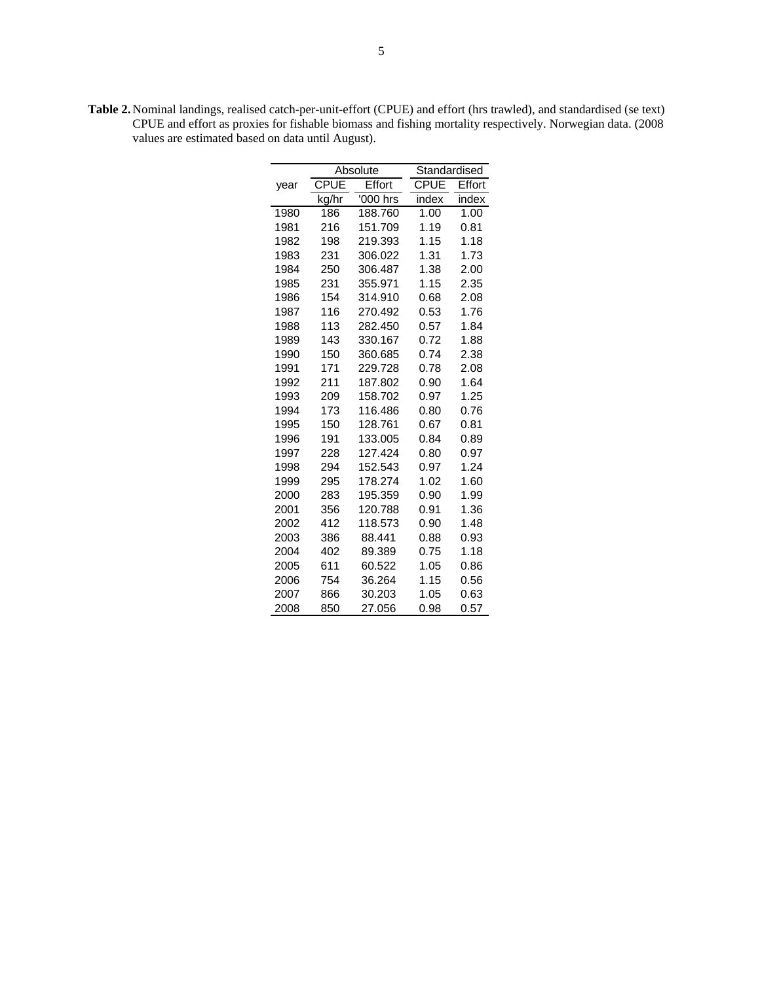| <b>Table 2.</b> Nominal landings, realised catch-per-unit-effort (CPUE) and effort (hrs trawled), and standardised (se text) |
|------------------------------------------------------------------------------------------------------------------------------|
| CPUE and effort as proxies for fishable biomass and fishing mortality respectively. Norwegian data. (2008)                   |
| values are estimated based on data until August).                                                                            |

|      |             | Absolute | Standardised |        |
|------|-------------|----------|--------------|--------|
| year | <b>CPUE</b> | Effort   | CPUE         | Effort |
|      | kg/hr       | '000 hrs | index        | index  |
| 1980 | 186         | 188.760  | 1.00         | 1.00   |
| 1981 | 216         | 151.709  | 1.19         | 0.81   |
| 1982 | 198         | 219.393  | 1.15         | 1.18   |
| 1983 | 231         | 306.022  | 1.31         | 1.73   |
| 1984 | 250         | 306.487  | 1.38         | 2.00   |
| 1985 | 231         | 355.971  | 1.15         | 2.35   |
| 1986 | 154         | 314.910  | 0.68         | 2.08   |
| 1987 | 116         | 270.492  | 0.53         | 1.76   |
| 1988 | 113         | 282.450  | 0.57         | 1.84   |
| 1989 | 143         | 330.167  | 0.72         | 1.88   |
| 1990 | 150         | 360.685  | 0.74         | 2.38   |
| 1991 | 171         | 229.728  | 0.78         | 2.08   |
| 1992 | 211         | 187.802  | 0.90         | 1.64   |
| 1993 | 209         | 158.702  | 0.97         | 1.25   |
| 1994 | 173         | 116.486  | 0.80         | 0.76   |
| 1995 | 150         | 128.761  | 0.67         | 0.81   |
| 1996 | 191         | 133.005  | 0.84         | 0.89   |
| 1997 | 228         | 127.424  | 0.80         | 0.97   |
| 1998 | 294         | 152.543  | 0.97         | 1.24   |
| 1999 | 295         | 178.274  | 1.02         | 1.60   |
| 2000 | 283         | 195.359  | 0.90         | 1.99   |
| 2001 | 356         | 120.788  | 0.91         | 1.36   |
| 2002 | 412         | 118.573  | 0.90         | 1.48   |
| 2003 | 386         | 88.441   | 0.88         | 0.93   |
| 2004 | 402         | 89.389   | 0.75         | 1.18   |
| 2005 | 611         | 60.522   | 1.05         | 0.86   |
| 2006 | 754         | 36.264   | 1.15         | 0.56   |
| 2007 | 866         | 30.203   | 1.05         | 0.63   |
| 2008 | 850         | 27.056   | 0.98         | 0.57   |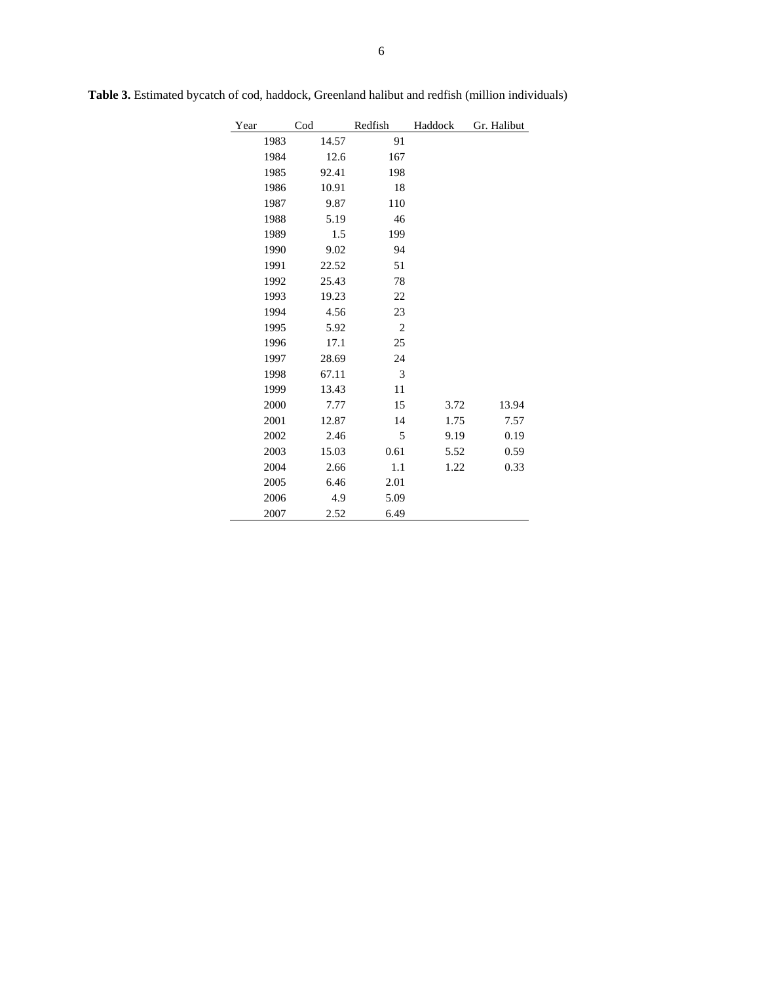| Year |      | $\mathrm{Cod}$ | Redfish        | Haddock | Gr. Halibut |
|------|------|----------------|----------------|---------|-------------|
|      | 1983 | 14.57          | 91             |         |             |
|      | 1984 | 12.6           | 167            |         |             |
|      | 1985 | 92.41          | 198            |         |             |
|      | 1986 | 10.91          | 18             |         |             |
|      | 1987 | 9.87           | 110            |         |             |
|      | 1988 | 5.19           | 46             |         |             |
|      | 1989 | 1.5            | 199            |         |             |
|      | 1990 | 9.02           | 94             |         |             |
|      | 1991 | 22.52          | 51             |         |             |
|      | 1992 | 25.43          | 78             |         |             |
|      | 1993 | 19.23          | 22             |         |             |
|      | 1994 | 4.56           | 23             |         |             |
|      | 1995 | 5.92           | $\overline{c}$ |         |             |
|      | 1996 | 17.1           | 25             |         |             |
|      | 1997 | 28.69          | 24             |         |             |
|      | 1998 | 67.11          | 3              |         |             |
|      | 1999 | 13.43          | 11             |         |             |
|      | 2000 | 7.77           | 15             | 3.72    | 13.94       |
|      | 2001 | 12.87          | 14             | 1.75    | 7.57        |
|      | 2002 | 2.46           | 5              | 9.19    | 0.19        |
|      | 2003 | 15.03          | 0.61           | 5.52    | 0.59        |
|      | 2004 | 2.66           | 1.1            | 1.22    | 0.33        |
|      | 2005 | 6.46           | 2.01           |         |             |
|      | 2006 | 4.9            | 5.09           |         |             |
|      | 2007 | 2.52           | 6.49           |         |             |

**Table 3.** Estimated bycatch of cod, haddock, Greenland halibut and redfish (million individuals)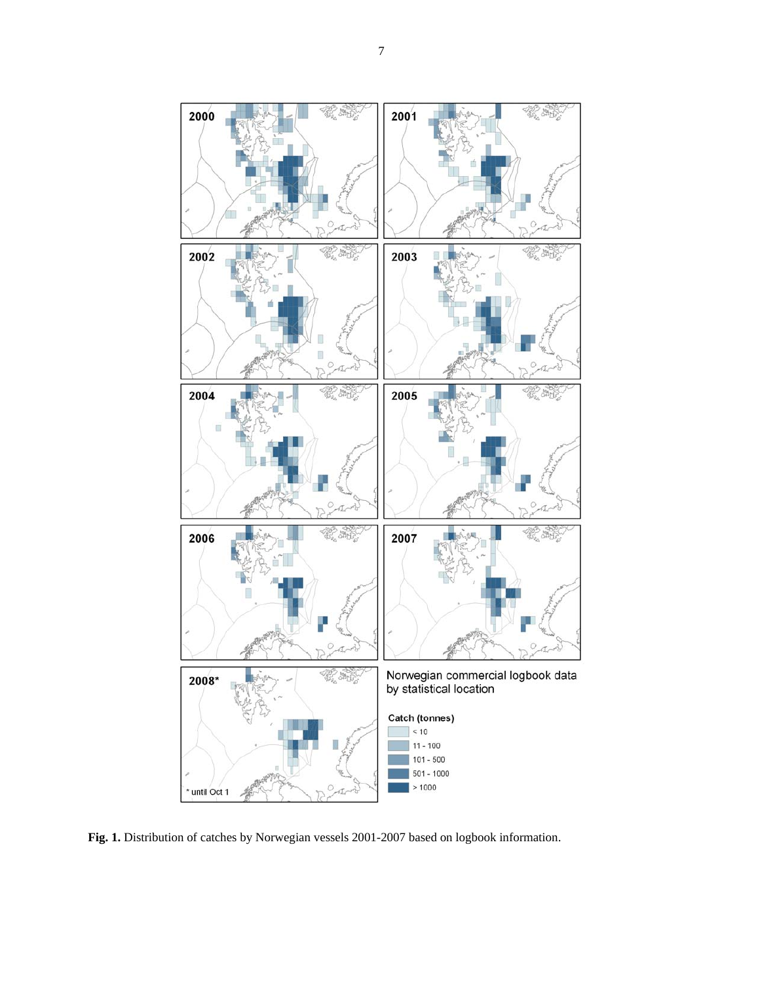

Fig. 1. Distribution of catches by Norwegian vessels 2001-2007 based on logbook information.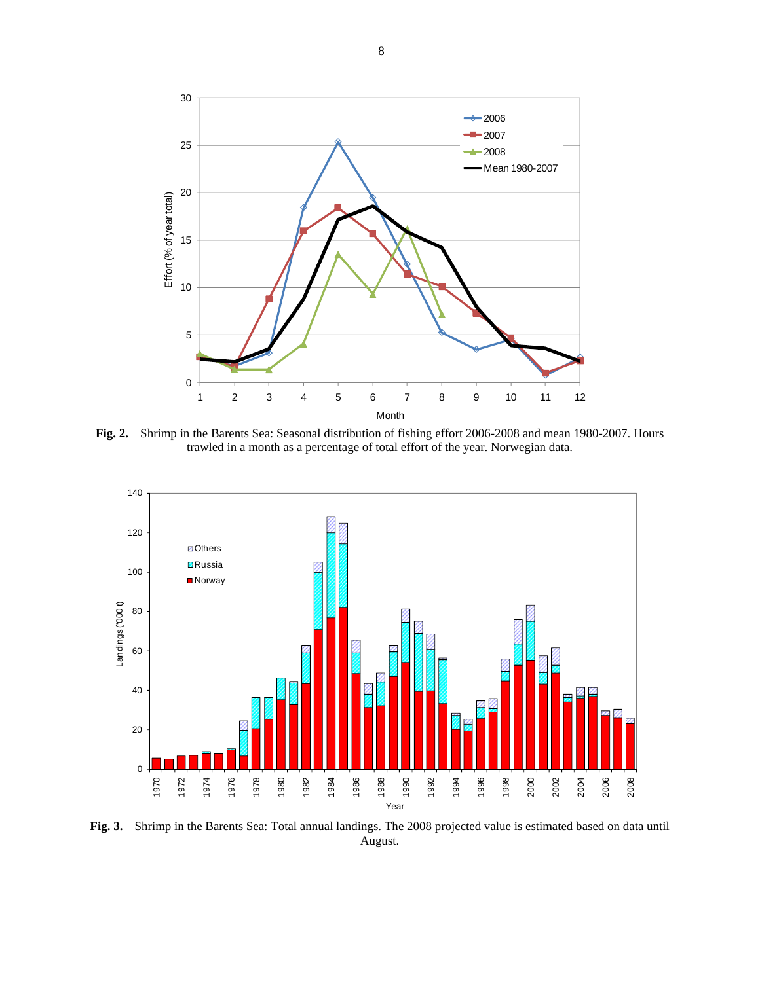

**Fig. 2.** Shrimp in the Barents Sea: Seasonal distribution of fishing effort 2006-2008 and mean 1980-2007. Hours trawled in a month as a percentage of total effort of the year. Norwegian data.



**Fig. 3.** Shrimp in the Barents Sea: Total annual landings. The 2008 projected value is estimated based on data until August.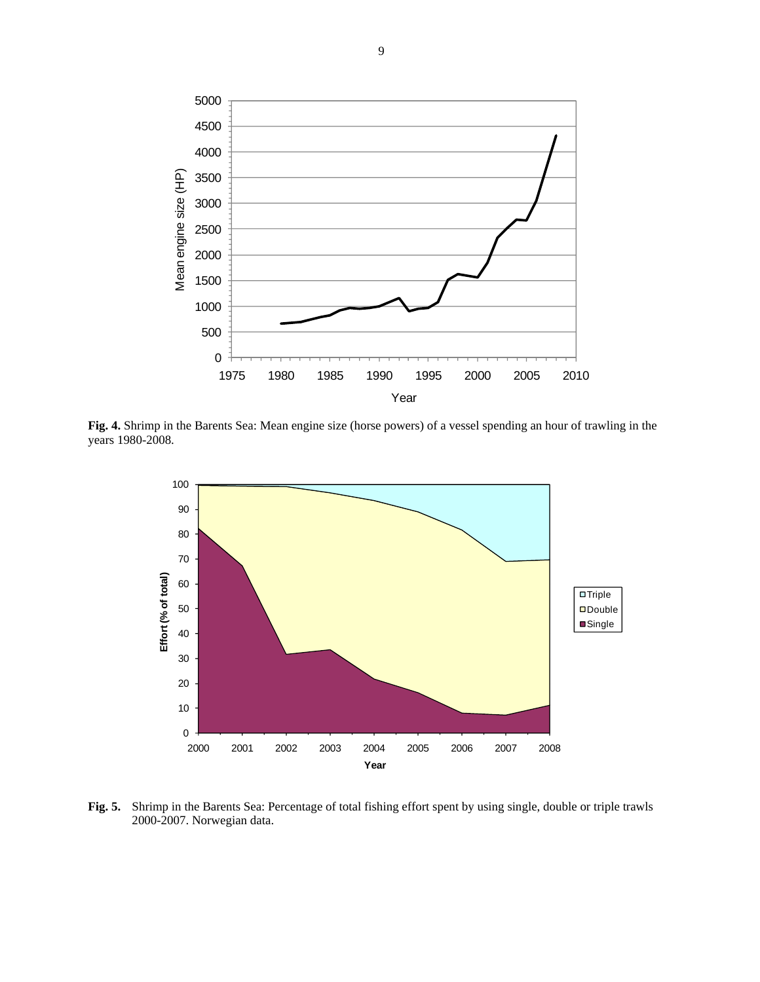

**Fig. 4.** Shrimp in the Barents Sea: Mean engine size (horse powers) of a vessel spending an hour of trawling in the years 1980-2008.



**Fig. 5.** Shrimp in the Barents Sea: Percentage of total fishing effort spent by using single, double or triple trawls 2000-2007. Norwegian data.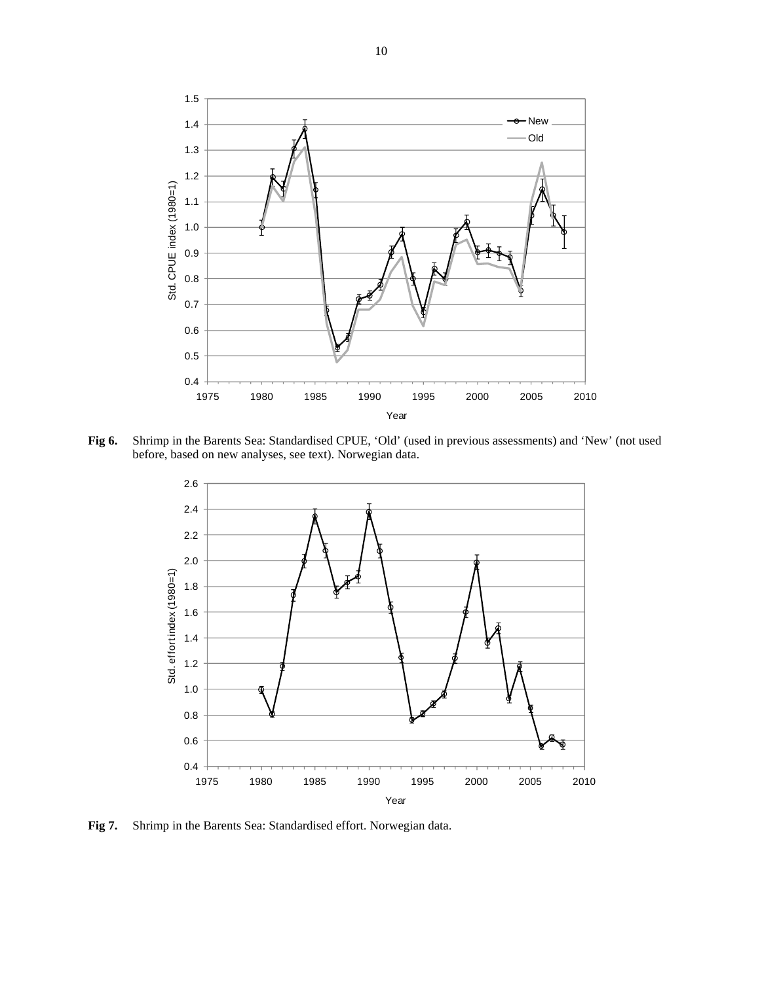

**Fig 6.** Shrimp in the Barents Sea: Standardised CPUE, 'Old' (used in previous assessments) and 'New' (not used before, based on new analyses, see text). Norwegian data.



**Fig 7.** Shrimp in the Barents Sea: Standardised effort. Norwegian data.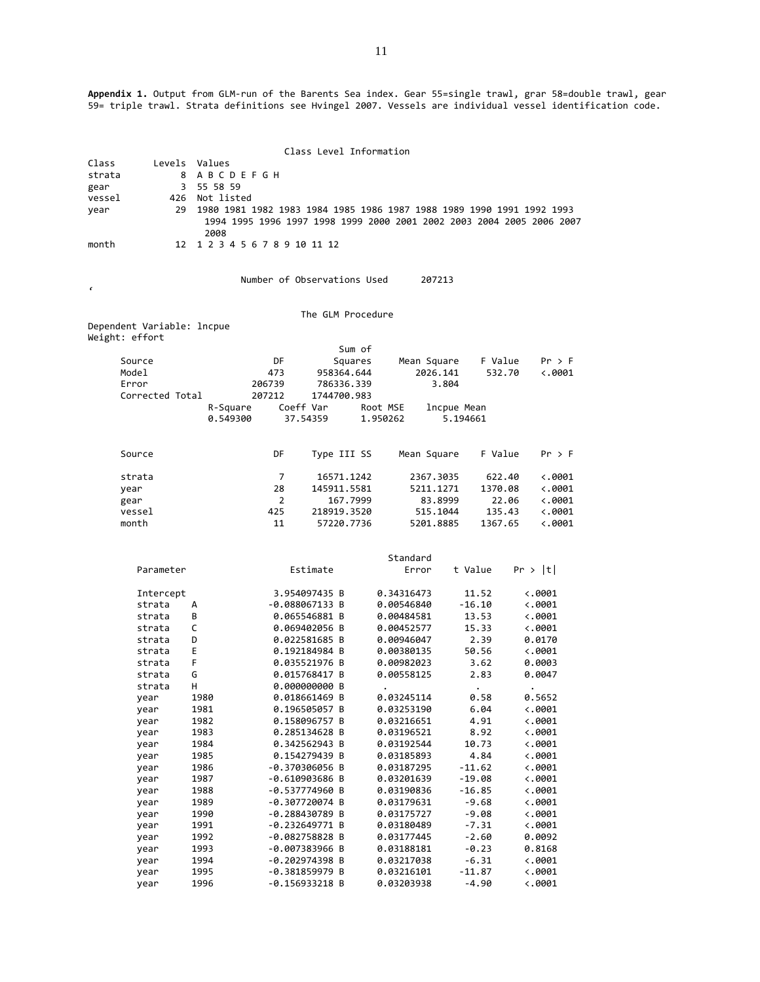**Appendix 1.** Output from GLM‐run of the Barents Sea index. Gear 55=single trawl, grar 58=double trawl, gear 59= triple trawl. Strata definitions see Hvingel 2007. Vessels are individual vessel identification code.

|        |                            |               |                            | Class Level Information        |                          |              |                                                                       |
|--------|----------------------------|---------------|----------------------------|--------------------------------|--------------------------|--------------|-----------------------------------------------------------------------|
| Class  | Levels                     | Values        |                            |                                |                          |              |                                                                       |
| strata |                            | 8             | A B C D E F G H            |                                |                          |              |                                                                       |
| gear   |                            | 55 58 59<br>3 |                            |                                |                          |              |                                                                       |
| vessel | 426                        | Not listed    |                            |                                |                          |              |                                                                       |
| year   | 29                         |               |                            |                                |                          |              | 1980 1981 1982 1983 1984 1985 1986 1987 1988 1989 1990 1991 1992 1993 |
|        |                            |               |                            |                                |                          |              | 1994 1995 1996 1997 1998 1999 2000 2001 2002 2003 2004 2005 2006 2007 |
|        |                            | 2008          |                            |                                |                          |              |                                                                       |
| month  | 12                         |               | 1 2 3 4 5 6 7 8 9 10 11 12 |                                |                          |              |                                                                       |
|        |                            |               |                            |                                |                          |              |                                                                       |
|        |                            |               |                            | Number of Observations Used    | 207213                   |              |                                                                       |
| ¢      |                            |               |                            |                                |                          |              |                                                                       |
|        |                            |               |                            | The GLM Procedure              |                          |              |                                                                       |
|        | Dependent Variable: lncpue |               |                            |                                |                          |              |                                                                       |
|        | Weight: effort             |               |                            |                                |                          |              |                                                                       |
|        |                            |               |                            | Sum of                         |                          |              |                                                                       |
|        | Source                     |               | DF                         | Squares                        | Mean Square              | F Value      | Pr > F                                                                |
|        | Model                      |               | 473                        | 958364.644                     | 2026.141                 | 532.70       | $\ddotsc 0001$                                                        |
|        | Error                      |               | 206739                     | 786336.339                     |                          | 3.804        |                                                                       |
|        | Corrected Total            |               | 207212                     | 1744700.983                    |                          |              |                                                                       |
|        |                            | R-Square      |                            | Coeff Var                      | Root MSE                 | lncpue Mean  |                                                                       |
|        |                            | 0.549300      |                            | 37.54359                       | 1.950262                 | 5.194661     |                                                                       |
|        |                            |               |                            |                                |                          |              |                                                                       |
|        | Source                     |               | DF                         | Type III SS                    | Mean Square              | F Value      | Pr > F                                                                |
|        |                            |               |                            |                                |                          |              |                                                                       |
|        | strata                     |               | 7                          | 16571.1242                     | 2367.3035                | 622.40       | $\ddotsc 0001$                                                        |
|        | year                       |               | 28                         | 145911.5581                    | 5211.1271                | 1370.08      | $\langle .0001$                                                       |
|        | gear                       |               | 2                          | 167.7999                       | 83.8999                  |              | 22.06<br>$\ddotsc 0001$                                               |
|        | vessel                     |               | 425                        | 218919.3520                    | 515.1044                 | 135.43       | $\ddotsc 0001$                                                        |
|        | month                      |               | 11                         | 57220.7736                     | 5201.8885                | 1367.65      | $\ddotsc 0001$                                                        |
|        |                            |               |                            |                                |                          |              |                                                                       |
|        |                            |               |                            |                                | Standard                 |              |                                                                       |
|        | Parameter                  |               |                            | Estimate                       | Error                    | t Value      | Pr >  t                                                               |
|        |                            |               |                            |                                |                          |              |                                                                       |
|        | Intercept                  |               |                            | 3.954097435 B                  | 0.34316473               | 11.52        | $\ddotsc 0001$                                                        |
|        | strata                     | А             |                            | $-0.088067133 B$               | 0.00546840               | $-16.10$     | $\ddotsc 0001$                                                        |
|        | strata                     | в             |                            | 0.065546881 B                  | 0.00484581               | 13.53        | $\ddotsc 0001$                                                        |
|        | strata                     | C             |                            | 0.069402056 B                  | 0.00452577               | 15.33        | $\ddotsc 0001$                                                        |
|        | strata                     | D             |                            | 0.022581685 B                  | 0.00946047               | 2.39         | 0.0170                                                                |
|        | strata                     | Ε             |                            | 0.192184984 B                  | 0.00380135               | 50.56        | $\ddotsc 0001$                                                        |
|        | strata                     | F             |                            | 0.035521976 B                  | 0.00982023               | 3.62         | 0.0003                                                                |
|        | strata                     | G             |                            | 0.015768417 B                  | 0.00558125               | 2.83         | 0.0047                                                                |
|        | strata                     | н             |                            | 0.000000000 B                  |                          | $\bullet$    |                                                                       |
|        | year                       | 1980          |                            | 0.018661469 B                  | 0.03245114               | 0.58         | 0.5652                                                                |
|        | year                       | 1981<br>1982  |                            | 0.196505057 B<br>0.158096757 B | 0.03253190<br>0.03216651 | 6.04<br>4.91 | $\ddotsc$ .0001<br>$\ddotsc 0001$                                     |
|        | year<br>year               | 1983          |                            | 0.285134628 B                  | 0.03196521               | 8.92         | 4.0001                                                                |
|        | year                       | 1984          |                            | 0.342562943 B                  | 0.03192544               | 10.73        | $\ddotsc$ .0001                                                       |
|        | year                       | 1985          |                            | 0.154279439 B                  | 0.03185893               | 4.84         | $\ddotsc 0001$                                                        |
|        | year                       | 1986          |                            | -0.370306056 B                 | 0.03187295               | $-11.62$     | $\ddotsc 0001$                                                        |
|        | year                       | 1987          |                            | $-0.610903686$ B               | 0.03201639               | $-19.08$     | $\ddotsc 0001$                                                        |
|        | year                       | 1988          |                            | $-0.537774960 B$               | 0.03190836               | $-16.85$     | $\ddotsc 0001$                                                        |
|        | year                       | 1989          |                            | -0.307720074 B                 | 0.03179631               | -9.68        | <.0001                                                                |

-0.381859979 B

year 1993 ‐0.007383966 B 0.03188181 ‐0.23 0.8168

year 1990 ‐0.288430789 B 0.03175727 ‐9.08 <.0001

year 1992 ‐0.082758828 B 0.03177445 ‐2.60 0.0092

year 1994 ‐0.202974398 B 0.03217038 ‐6.31 <.0001

year 1996 ‐0.156933218 B 0.03203938 ‐4.90 <.0001

year 1991 ‐0.232649771 B 0.03180489 ‐7.31 <.0001

11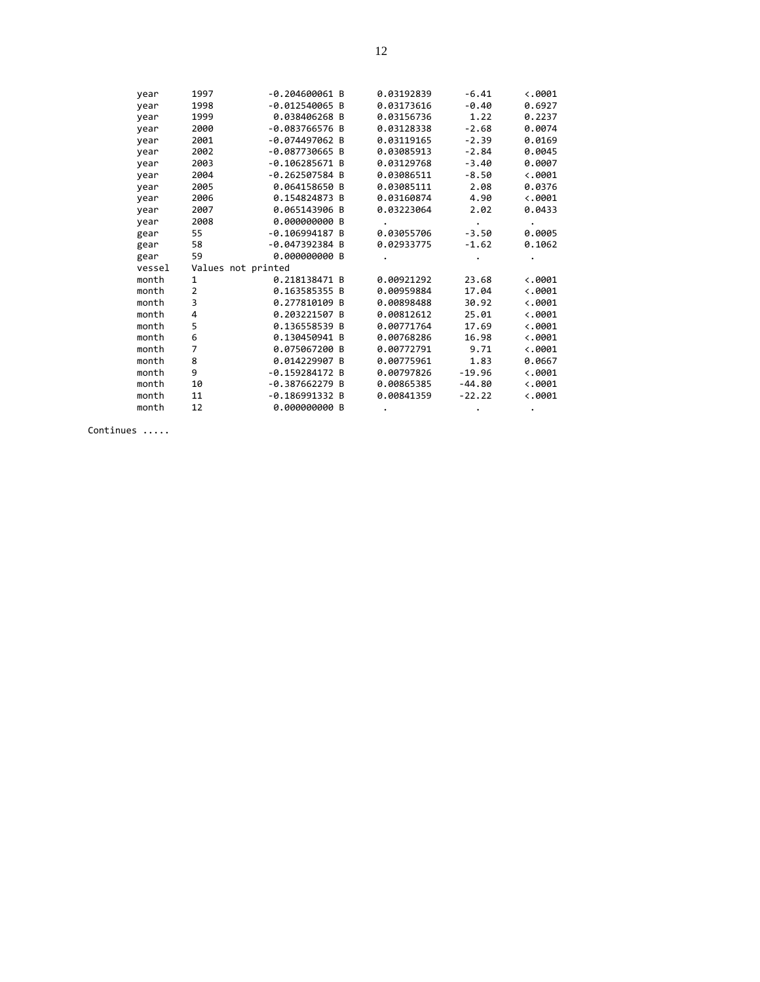| year   | 1997               | $-0.204600061$ B | 0.03192839 | $-6.41$  | $\langle .0001$ |
|--------|--------------------|------------------|------------|----------|-----------------|
| year   | 1998               | $-0.012540065$ B | 0.03173616 | $-0.40$  | 0.6927          |
| year   | 1999               | 0.038406268 B    | 0.03156736 | 1.22     | 0.2237          |
| year   | 2000               | -0.083766576 B   | 0.03128338 | $-2.68$  | 0.0074          |
| year   | 2001               | $-0.074497062 B$ | 0.03119165 | $-2.39$  | 0.0169          |
| year   | 2002               | $-0.087730665$ B | 0.03085913 | $-2.84$  | 0.0045          |
| year   | 2003               | $-0.106285671$ B | 0.03129768 | $-3.40$  | 0.0007          |
| year   | 2004               | $-0.262507584$ B | 0.03086511 | $-8.50$  | $\langle .0001$ |
| year   | 2005               | 0.064158650 B    | 0.03085111 | 2.08     | 0.0376          |
| year   | 2006               | 0.154824873 B    | 0.03160874 | 4.90     | $\langle .0001$ |
| year   | 2007               | 0.065143906 B    | 0.03223064 | 2.02     | 0.0433          |
| year   | 2008               | 0.000000000 B    |            |          | $\bullet$       |
| gear   | 55                 | $-0.106994187 B$ | 0.03055706 | $-3.50$  | 0.0005          |
| gear   | 58                 | -0.047392384 B   | 0.02933775 | $-1.62$  | 0.1062          |
| gear   | 59                 | 0.000000000 B    |            |          |                 |
| vessel | Values not printed |                  |            |          |                 |
| month  | 1                  | 0.218138471 B    | 0.00921292 | 23.68    | $\langle .0001$ |
| month  | 2                  | 0.163585355 B    | 0.00959884 | 17.04    | $\langle .0001$ |
| month  | 3                  | 0.277810109 B    | 0.00898488 | 30.92    | $\langle .0001$ |
| month  | 4                  | 0.203221507 B    | 0.00812612 | 25.01    | $\langle .0001$ |
| month  | 5                  | 0.136558539 B    | 0.00771764 | 17.69    | $\langle .0001$ |
| month  | 6                  | 0.130450941 B    | 0.00768286 | 16.98    | $\langle .0001$ |
| month  | 7                  | 0.075067200 B    | 0.00772791 | 9.71     | $\langle .0001$ |
| month  | 8                  | 0.014229907 B    | 0.00775961 | 1.83     | 0.0667          |
| month  | 9                  | $-0.159284172B$  | 0.00797826 | $-19.96$ | $\langle .0001$ |
| month  | 10                 | $-0.387662279 B$ | 0.00865385 | $-44.80$ | $\langle .0001$ |
| month  | 11                 | $-0.186991332B$  | 0.00841359 | $-22.22$ | $\langle .0001$ |
| month  | 12                 | 0.000000000 B    |            |          |                 |
|        |                    |                  |            |          |                 |

Continues .....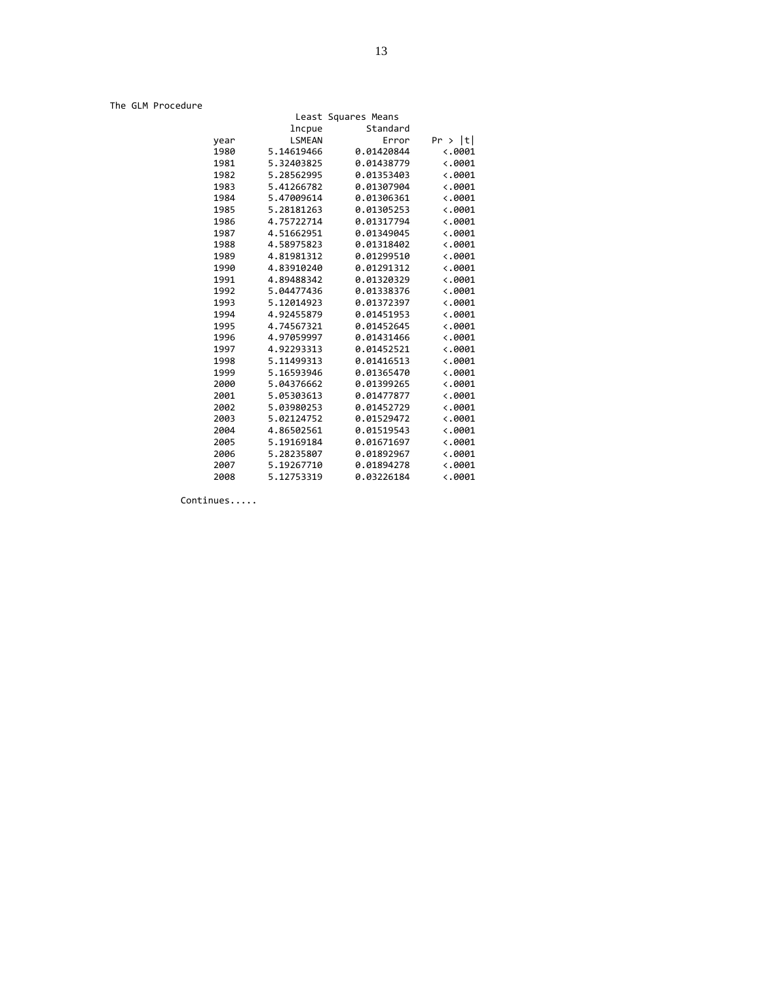The GLM Procedure

|                           | Least Squares Means |               |      |
|---------------------------|---------------------|---------------|------|
|                           | Standard            | lncpue        |      |
| Pr >  t                   | Error               | <b>LSMEAN</b> | year |
| $\ddotsc 0001$            | 0.01420844          | 5.14619466    | 1980 |
| $\langle .0001$           | 0.01438779          | 5.32403825    | 1981 |
| $\langle .0001$           | 0.01353403          | 5.28562995    | 1982 |
| $\langle .0001$           | 0.01307904          | 5.41266782    | 1983 |
| $\langle .0001$           | 0.01306361          | 5.47009614    | 1984 |
| $\langle .0001$           | 0.01305253          | 5.28181263    | 1985 |
| 0.0001                    | 0.01317794          | 4.75722714    | 1986 |
| $\langle .0001$           | 0.01349045          | 4.51662951    | 1987 |
| $\langle .0001$           | 0.01318402          | 4.58975823    | 1988 |
| $\langle .0001$           | 0.01299510          | 4.81981312    | 1989 |
| $\langle .0001$           | 0.01291312          | 4.83910240    | 1990 |
| $\ddot{\phantom{0}}.0001$ | 0.01320329          | 4.89488342    | 1991 |
| $\ddot{\phantom{0}}.0001$ | 0.01338376          | 5.04477436    | 1992 |
| $\langle .0001$           | 0.01372397          | 5.12014923    | 1993 |
| $\ddot{\phantom{0}}.0001$ | 0.01451953          | 4.92455879    | 1994 |
| $\langle .0001$           | 0.01452645          | 4.74567321    | 1995 |
| $\langle .0001$           | 0.01431466          | 4.97059997    | 1996 |
| $\ddot{\phantom{0}}.0001$ | 0.01452521          | 4.92293313    | 1997 |
| $\ddot{\phantom{0}}.0001$ | 0.01416513          | 5.11499313    | 1998 |
| $\ddot{\phantom{0}}.0001$ | 0.01365470          | 5.16593946    | 1999 |
| $\ddot{\phantom{0}}.0001$ | 0.01399265          | 5.04376662    | 2000 |
| $\langle .0001$           | 0.01477877          | 5.05303613    | 2001 |
| $\langle .0001$           | 0.01452729          | 5.03980253    | 2002 |
| $\langle .0001$           | 0.01529472          | 5.02124752    | 2003 |
| $\ddot{\phantom{0}}.0001$ | 0.01519543          | 4.86502561    | 2004 |
| $\ddot{\phantom{0}}.0001$ | 0.01671697          | 5.19169184    | 2005 |
| $\langle .0001$           | 0.01892967          | 5.28235807    | 2006 |
| $\langle .0001$           | 0.01894278          | 5.19267710    | 2007 |
| $\langle .0001$           | 0.03226184          | 5.12753319    | 2008 |

Continues.....